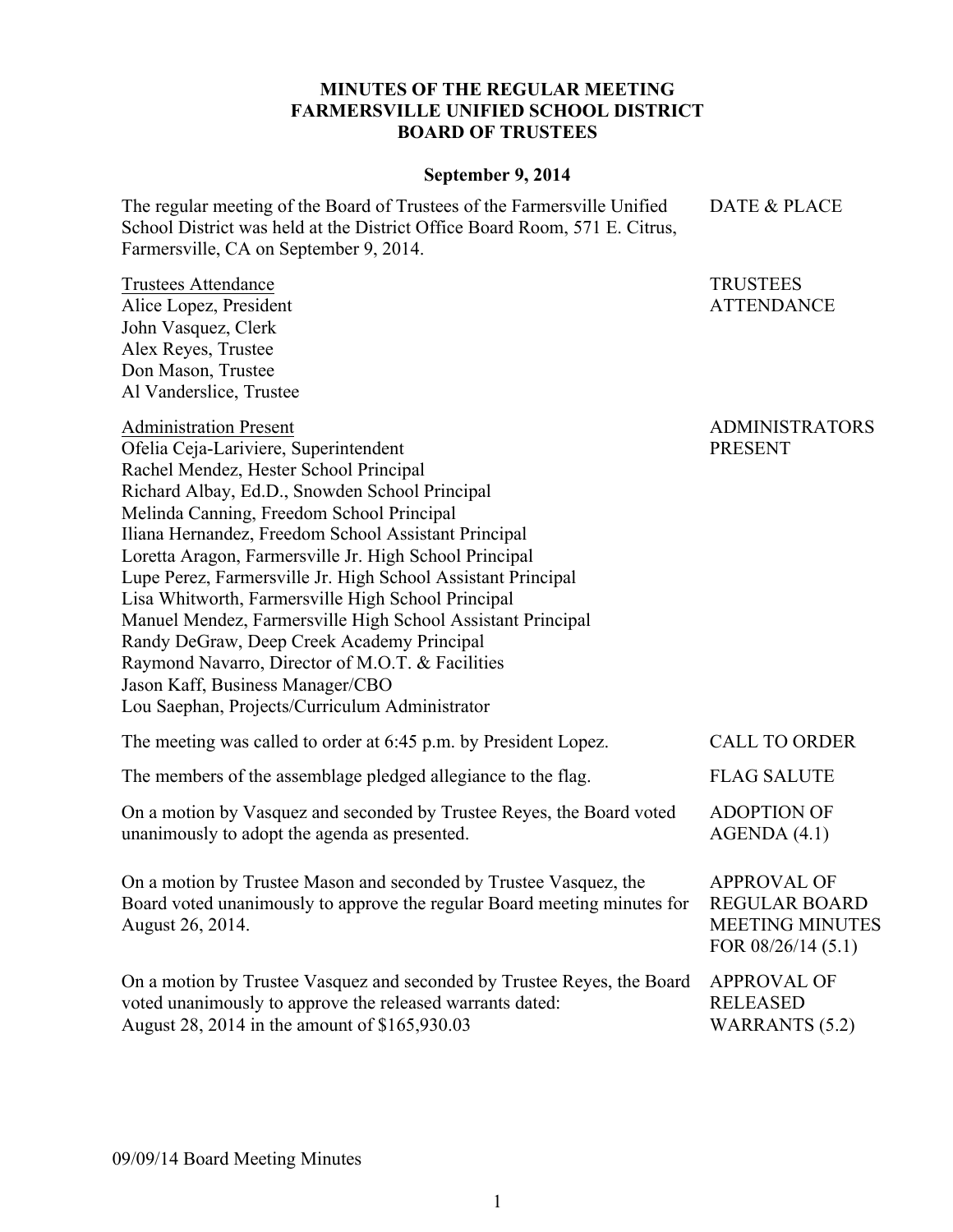## **MINUTES OF THE REGULAR MEETING FARMERSVILLE UNIFIED SCHOOL DISTRICT BOARD OF TRUSTEES**

## **September 9, 2014**

The regular meeting of the Board of Trustees of the Farmersville Unified School District was held at the District Office Board Room, 571 E. Citrus, Farmersville, CA on September 9, 2014.

Trustees Attendance Alice Lopez, President John Vasquez, Clerk Alex Reyes, Trustee Don Mason, Trustee Al Vanderslice, Trustee

Administration Present

ADMINISTRATORS

DATE & PLACE

TRUSTEES ATTENDANCE

Ofelia Ceja-Lariviere, Superintendent Rachel Mendez, Hester School Principal Richard Albay, Ed.D., Snowden School Principal Melinda Canning, Freedom School Principal Iliana Hernandez, Freedom School Assistant Principal Loretta Aragon, Farmersville Jr. High School Principal Lupe Perez, Farmersville Jr. High School Assistant Principal Lisa Whitworth, Farmersville High School Principal Manuel Mendez, Farmersville High School Assistant Principal Randy DeGraw, Deep Creek Academy Principal Raymond Navarro, Director of M.O.T. & Facilities Jason Kaff, Business Manager/CBO Lou Saephan, Projects/Curriculum Administrator PRESENT

The meeting was called to order at 6:45 p.m. by President Lopez. CALL TO ORDER The members of the assemblage pledged allegiance to the flag. FLAG SALUTE On a motion by Vasquez and seconded by Trustee Reyes, the Board voted unanimously to adopt the agenda as presented. ADOPTION OF AGENDA (4.1) On a motion by Trustee Mason and seconded by Trustee Vasquez, the Board voted unanimously to approve the regular Board meeting minutes for August 26, 2014. APPROVAL OF REGULAR BOARD MEETING MINUTES FOR 08/26/14 (5.1) On a motion by Trustee Vasquez and seconded by Trustee Reyes, the Board APPROVAL OF

voted unanimously to approve the released warrants dated: August 28, 2014 in the amount of \$165,930.03

RELEASED

WARRANTS (5.2)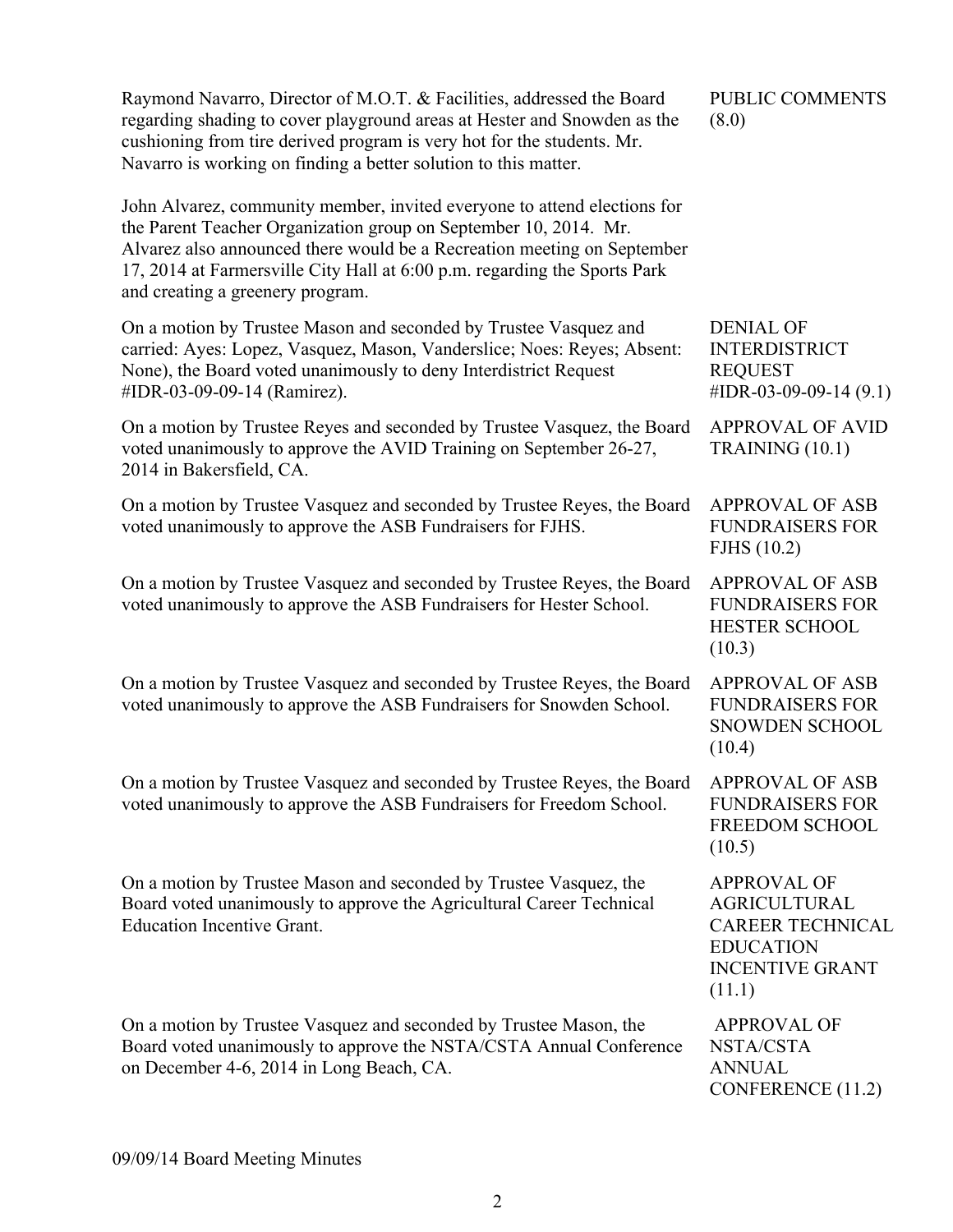| Raymond Navarro, Director of M.O.T. & Facilities, addressed the Board<br>regarding shading to cover playground areas at Hester and Snowden as the<br>cushioning from tire derived program is very hot for the students. Mr.<br>Navarro is working on finding a better solution to this matter.                                           | PUBLIC COMMENTS<br>(8.0)                                                                                                     |
|------------------------------------------------------------------------------------------------------------------------------------------------------------------------------------------------------------------------------------------------------------------------------------------------------------------------------------------|------------------------------------------------------------------------------------------------------------------------------|
| John Alvarez, community member, invited everyone to attend elections for<br>the Parent Teacher Organization group on September 10, 2014. Mr.<br>Alvarez also announced there would be a Recreation meeting on September<br>17, 2014 at Farmersville City Hall at 6:00 p.m. regarding the Sports Park<br>and creating a greenery program. |                                                                                                                              |
| On a motion by Trustee Mason and seconded by Trustee Vasquez and<br>carried: Ayes: Lopez, Vasquez, Mason, Vanderslice; Noes: Reyes; Absent:<br>None), the Board voted unanimously to deny Interdistrict Request<br>#IDR-03-09-09-14 (Ramirez).                                                                                           | <b>DENIAL OF</b><br><b>INTERDISTRICT</b><br><b>REQUEST</b><br>#IDR-03-09-09-14 $(9.1)$                                       |
| On a motion by Trustee Reyes and seconded by Trustee Vasquez, the Board<br>voted unanimously to approve the AVID Training on September 26-27,<br>2014 in Bakersfield, CA.                                                                                                                                                                | <b>APPROVAL OF AVID</b><br>TRAINING (10.1)                                                                                   |
| On a motion by Trustee Vasquez and seconded by Trustee Reyes, the Board<br>voted unanimously to approve the ASB Fundraisers for FJHS.                                                                                                                                                                                                    | <b>APPROVAL OF ASB</b><br><b>FUNDRAISERS FOR</b><br>FJHS (10.2)                                                              |
| On a motion by Trustee Vasquez and seconded by Trustee Reyes, the Board<br>voted unanimously to approve the ASB Fundraisers for Hester School.                                                                                                                                                                                           | <b>APPROVAL OF ASB</b><br><b>FUNDRAISERS FOR</b><br><b>HESTER SCHOOL</b><br>(10.3)                                           |
| On a motion by Trustee Vasquez and seconded by Trustee Reyes, the Board<br>voted unanimously to approve the ASB Fundraisers for Snowden School.                                                                                                                                                                                          | <b>APPROVAL OF ASB</b><br><b>FUNDRAISERS FOR</b><br><b>SNOWDEN SCHOOL</b><br>(10.4)                                          |
| On a motion by Trustee Vasquez and seconded by Trustee Reyes, the Board APPROVAL OF ASB<br>voted unanimously to approve the ASB Fundraisers for Freedom School.                                                                                                                                                                          | <b>FUNDRAISERS FOR</b><br>FREEDOM SCHOOL<br>(10.5)                                                                           |
| On a motion by Trustee Mason and seconded by Trustee Vasquez, the<br>Board voted unanimously to approve the Agricultural Career Technical<br><b>Education Incentive Grant.</b>                                                                                                                                                           | <b>APPROVAL OF</b><br><b>AGRICULTURAL</b><br><b>CAREER TECHNICAL</b><br><b>EDUCATION</b><br><b>INCENTIVE GRANT</b><br>(11.1) |
| On a motion by Trustee Vasquez and seconded by Trustee Mason, the<br>Board voted unanimously to approve the NSTA/CSTA Annual Conference<br>on December 4-6, 2014 in Long Beach, CA.                                                                                                                                                      | <b>APPROVAL OF</b><br>NSTA/CSTA<br><b>ANNUAL</b><br>CONFERENCE (11.2)                                                        |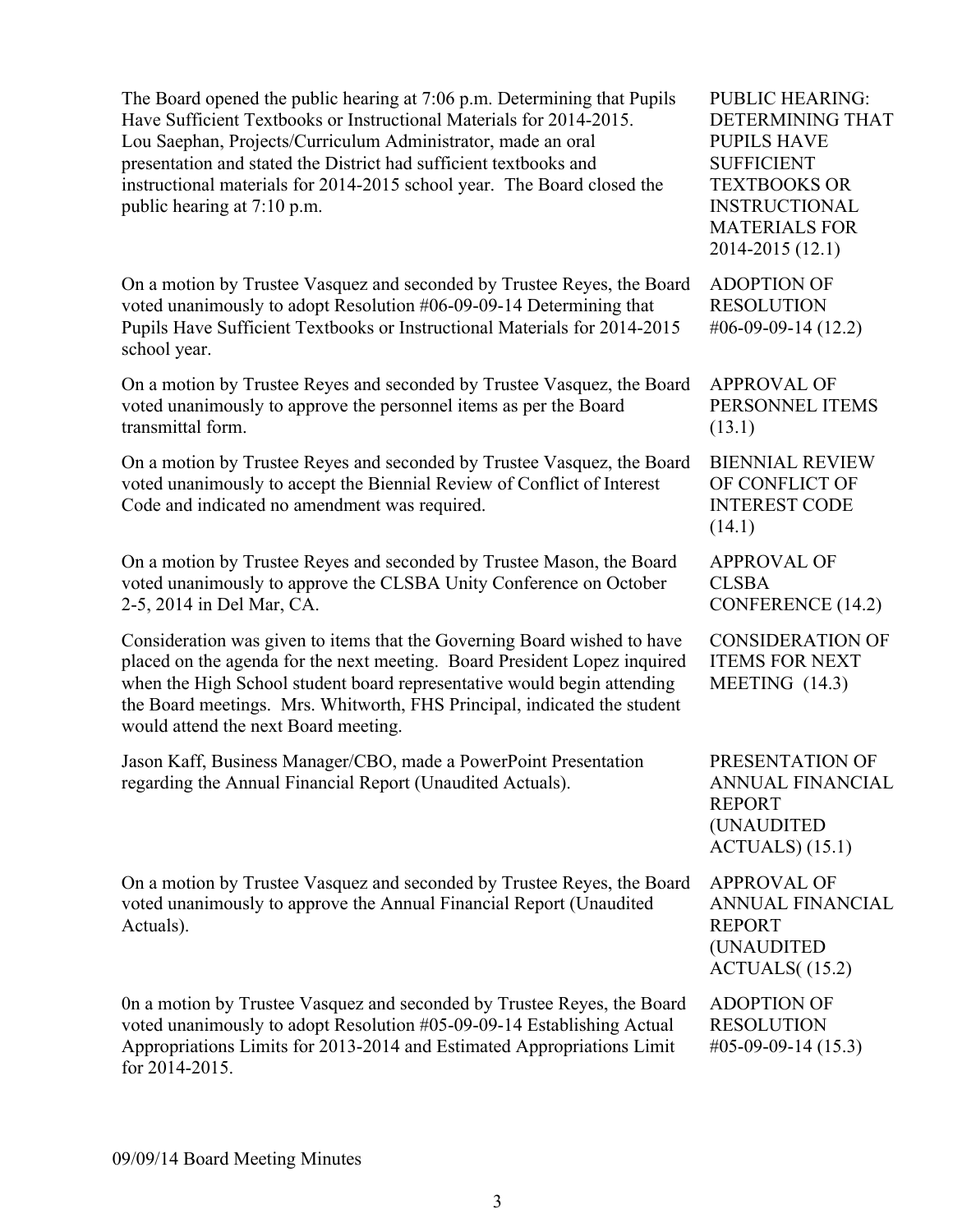The Board opened the public hearing at 7:06 p.m. Determining that Pupils Have Sufficient Textbooks or Instructional Materials for 2014-2015. Lou Saephan, Projects/Curriculum Administrator, made an oral presentation and stated the District had sufficient textbooks and instructional materials for 2014-2015 school year. The Board closed the public hearing at 7:10 p.m.

On a motion by Trustee Vasquez and seconded by Trustee Reyes, the Board voted unanimously to adopt Resolution #06-09-09-14 Determining that Pupils Have Sufficient Textbooks or Instructional Materials for 2014-2015 school year.

On a motion by Trustee Reyes and seconded by Trustee Vasquez, the Board voted unanimously to approve the personnel items as per the Board transmittal form.

On a motion by Trustee Reyes and seconded by Trustee Vasquez, the Board voted unanimously to accept the Biennial Review of Conflict of Interest Code and indicated no amendment was required.

On a motion by Trustee Reyes and seconded by Trustee Mason, the Board voted unanimously to approve the CLSBA Unity Conference on October 2-5, 2014 in Del Mar, CA.

Consideration was given to items that the Governing Board wished to have placed on the agenda for the next meeting. Board President Lopez inquired when the High School student board representative would begin attending the Board meetings. Mrs. Whitworth, FHS Principal, indicated the student would attend the next Board meeting.

Jason Kaff, Business Manager/CBO, made a PowerPoint Presentation regarding the Annual Financial Report (Unaudited Actuals).

On a motion by Trustee Vasquez and seconded by Trustee Reyes, the Board voted unanimously to approve the Annual Financial Report (Unaudited Actuals).

0n a motion by Trustee Vasquez and seconded by Trustee Reyes, the Board voted unanimously to adopt Resolution #05-09-09-14 Establishing Actual Appropriations Limits for 2013-2014 and Estimated Appropriations Limit for 2014-2015.

PUBLIC HEARING: DETERMINING THAT PUPILS HAVE SUFFICIENT TEXTBOOKS OR INSTRUCTIONAL MATERIALS FOR 2014-2015 (12.1)

ADOPTION OF RESOLUTION #06-09-09-14 (12.2)

APPROVAL OF PERSONNEL ITEMS (13.1)

BIENNIAL REVIEW OF CONFLICT OF INTEREST CODE (14.1)

APPROVAL OF CLSBA CONFERENCE (14.2)

CONSIDERATION OF ITEMS FOR NEXT MEETING (14.3)

PRESENTATION OF ANNUAL FINANCIAL REPORT (UNAUDITED ACTUALS) (15.1)

APPROVAL OF ANNUAL FINANCIAL REPORT (UNAUDITED ACTUALS( (15.2)

ADOPTION OF RESOLUTION #05-09-09-14 (15.3)